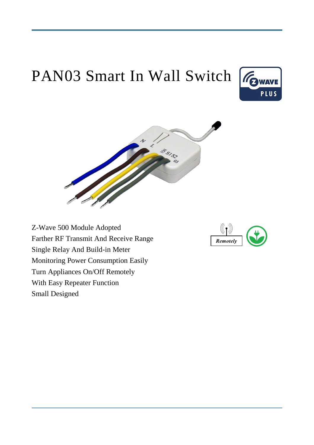# PAN03 Smart In Wall Switch





Z-Wave 500 Module Adopted Farther RF Transmit And Receive Range Single Relay And Build-in Meter Monitoring Power Consumption Easily Turn Appliances On/Off Remotely With Easy Repeater Function Small Designed

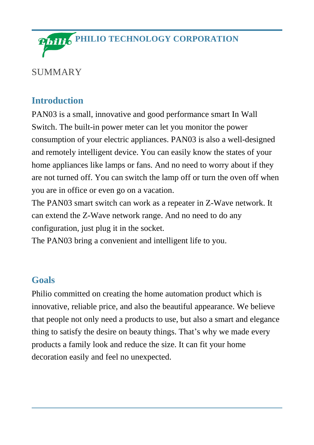

#### SUMMARY

# **Introduction**

PAN03 is a small, innovative and good performance smart In Wall Switch. The built-in power meter can let you monitor the power consumption of your electric appliances. PAN03 is also a well-designed and remotely intelligent device. You can easily know the states of your home appliances like lamps or fans. And no need to worry about if they are not turned off. You can switch the lamp off or turn the oven off when you are in office or even go on a vacation.

The PAN03 smart switch can work as a repeater in Z-Wave network. It can extend the Z-Wave network range. And no need to do any configuration, just plug it in the socket.

The PAN03 bring a convenient and intelligent life to you.

## **Goals**

Philio committed on creating the home automation product which is innovative, reliable price, and also the beautiful appearance. We believe that people not only need a products to use, but also a smart and elegance thing to satisfy the desire on beauty things. That's why we made every products a family look and reduce the size. It can fit your home decoration easily and feel no unexpected.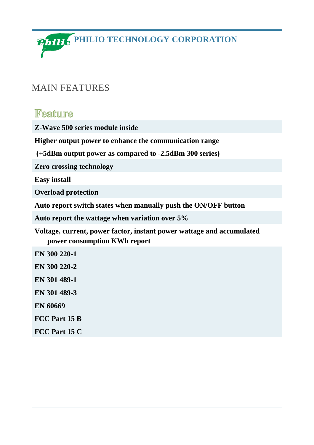**Philio PHILIO TECHNOLOGY CORPORATION** 

#### MAIN FEATURES

#### Feature

**Z-Wave 500 series module inside**

**Higher output power to enhance the communication range**

**(+5dBm output power as compared to -2.5dBm 300 series)**

**Zero crossing technology**

**Easy install**

**Overload protection**

**Auto report switch states when manually push the ON/OFF button**

**Auto report the wattage when variation over 5%**

**Voltage, current, power factor, instant power wattage and accumulated power consumption KWh report**

**EN 300 220-1 EN 300 220-2 EN 301 489-1 EN 301 489-3 EN 60669 FCC Part 15 B FCC Part 15 C**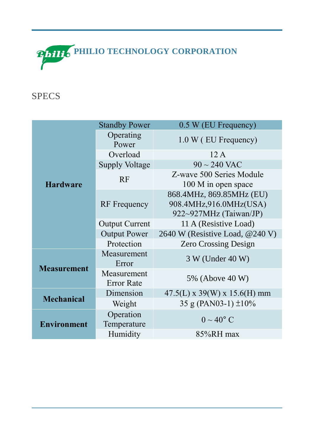

# SPECS

| <b>Hardware</b>    | <b>Standby Power</b>             | 0.5 W (EU Frequency)                                                         |
|--------------------|----------------------------------|------------------------------------------------------------------------------|
|                    | Operating<br>Power               | 1.0 W (EU Frequency)                                                         |
|                    | Overload                         | 12A                                                                          |
|                    | <b>Supply Voltage</b>            | $90 \sim 240$ VAC                                                            |
|                    | <b>RF</b>                        | Z-wave 500 Series Module<br>100 M in open space                              |
|                    | <b>RF</b> Frequency              | 868.4MHz, 869.85MHz (EU)<br>908.4MHz,916.0MHz(USA)<br>922~927MHz (Taiwan/JP) |
|                    | <b>Output Current</b>            | 11 A (Resistive Load)                                                        |
|                    | <b>Output Power</b>              | 2640 W (Resistive Load, @240 V)                                              |
|                    | Protection                       | <b>Zero Crossing Design</b>                                                  |
| <b>Measurement</b> | Measurement<br>Error             | 3 W (Under 40 W)                                                             |
|                    | Measurement<br><b>Error Rate</b> | 5% (Above 40 W)                                                              |
| <b>Mechanical</b>  | Dimension                        | $47.5(L)$ x 39(W) x 15.6(H) mm                                               |
|                    | Weight                           | 35 g (PAN03-1) $\pm 10\%$                                                    |
| <b>Environment</b> | Operation<br>Temperature         | $0 \sim 40^{\circ}$ C                                                        |
|                    | Humidity                         | 85%RH max                                                                    |